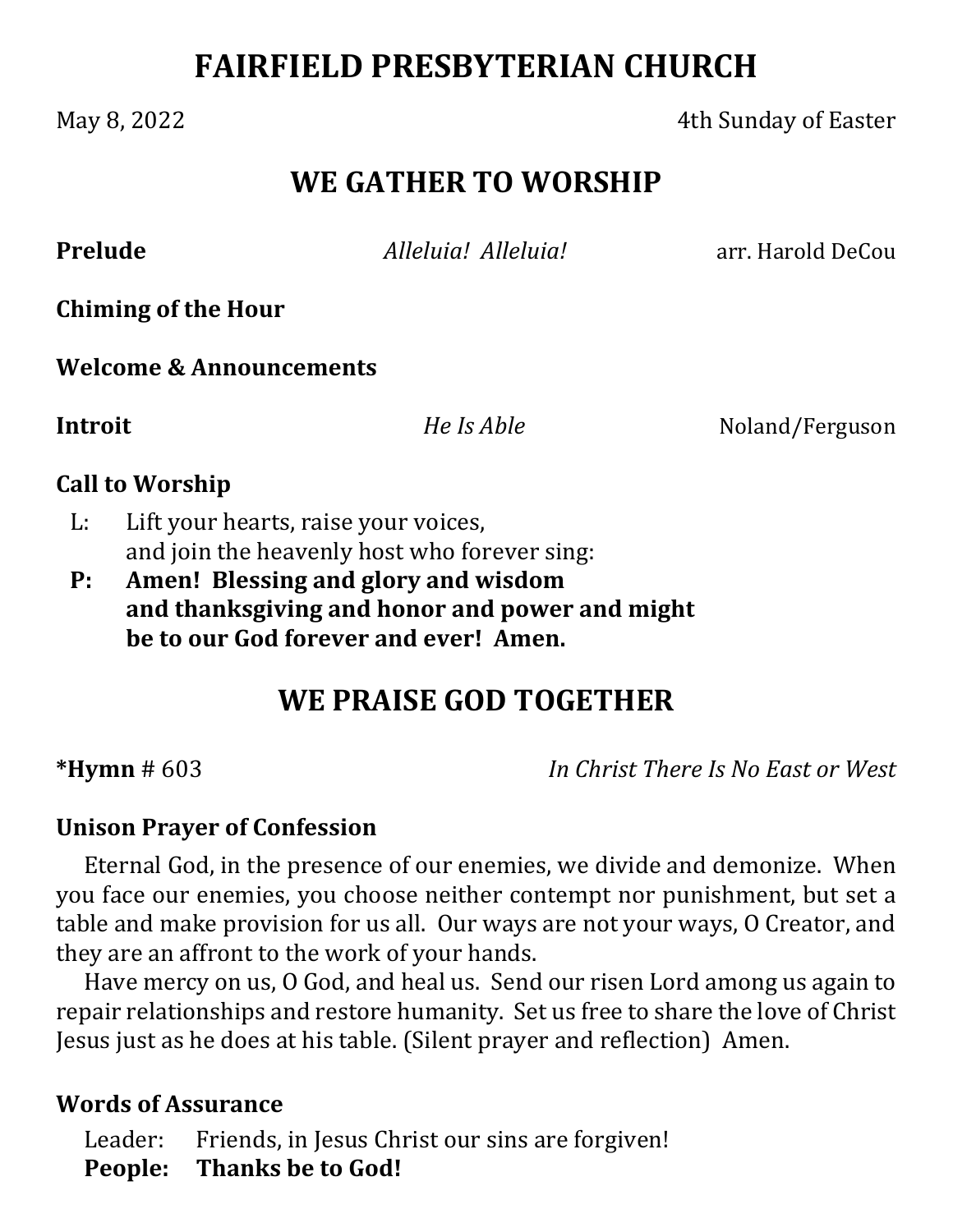# **FAIRFIELD PRESBYTERIAN CHURCH**

May 8, 2022 **19 No. 2022 19:30 May 8, 2022 19:30 May 8, 2022 19:30 May 9 Ath Sunday of Easter** 

# **WE GATHER TO WORSHIP**

**Prelude** *Alleluia! Alleluia!* **and the County of the Alleluia** arr. Harold DeCou

**Chiming of the Hour**

**Welcome & Announcements**

**Introit**  *He Is Able* Noland/Ferguson

#### **Call to Worship**

- L: Lift your hearts, raise your voices, and join the heavenly host who forever sing:
- **P: Amen! Blessing and glory and wisdom and thanksgiving and honor and power and might be to our God forever and ever! Amen.**

# **WE PRAISE GOD TOGETHER**

**\*Hymn** # 603 *In Christ There Is No East or West*

#### **Unison Prayer of Confession**

Eternal God, in the presence of our enemies, we divide and demonize. When you face our enemies, you choose neither contempt nor punishment, but set a table and make provision for us all. Our ways are not your ways, O Creator, and they are an affront to the work of your hands.

Have mercy on us, O God, and heal us. Send our risen Lord among us again to repair relationships and restore humanity. Set us free to share the love of Christ Jesus just as he does at his table. (Silent prayer and reflection) Amen.

#### **Words of Assurance**

Leader: Friends, in Jesus Christ our sins are forgiven! **People: Thanks be to God!**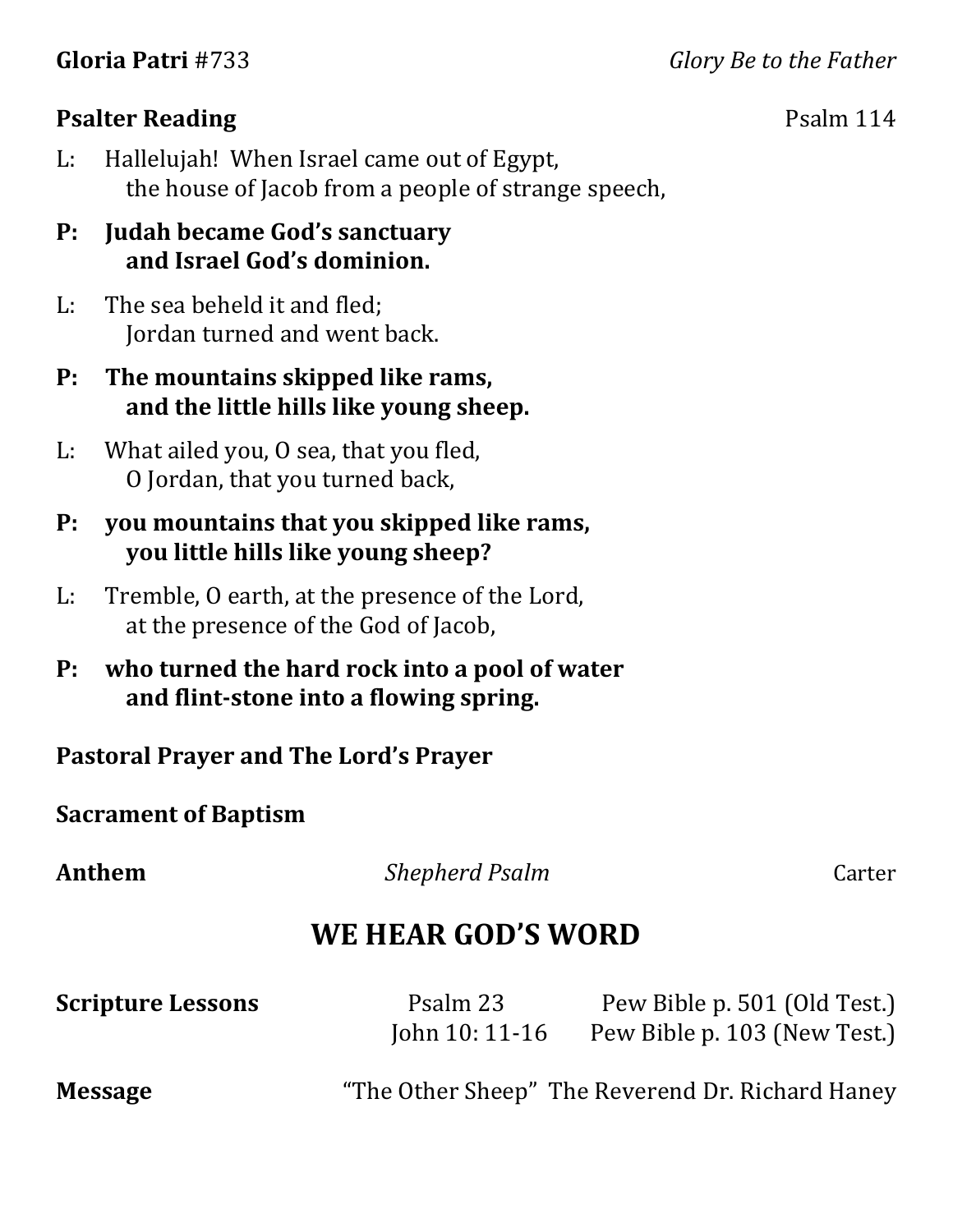**Gloria Patri** #733 *Glory Be to the Father*

#### **Psalter Reading** Psalm 114

L: Hallelujah! When Israel came out of Egypt, the house of Jacob from a people of strange speech,

#### **P: Judah became God's sanctuary and Israel God's dominion.**

L: The sea beheld it and fled; Jordan turned and went back.

### **P: The mountains skipped like rams, and the little hills like young sheep.**

L: What ailed you, O sea, that you fled, O Jordan, that you turned back,

#### **P: you mountains that you skipped like rams, you little hills like young sheep?**

- L: Tremble, O earth, at the presence of the Lord, at the presence of the God of Jacob,
- **P: who turned the hard rock into a pool of water and flint‐stone into a flowing spring.**

**Pastoral Prayer and The Lord's Prayer**

### **Sacrament of Baptism**

**Anthem** *Shepherd Psalm Carter* 

# **WE HEAR GOD'S WORD**

| <b>Scripture Lessons</b> | Psalm 23<br>John $10:11-16$ | Pew Bible p. 501 (Old Test.)<br>Pew Bible p. 103 (New Test.) |
|--------------------------|-----------------------------|--------------------------------------------------------------|
| <b>Message</b>           |                             | "The Other Sheep" The Reverend Dr. Richard Haney             |